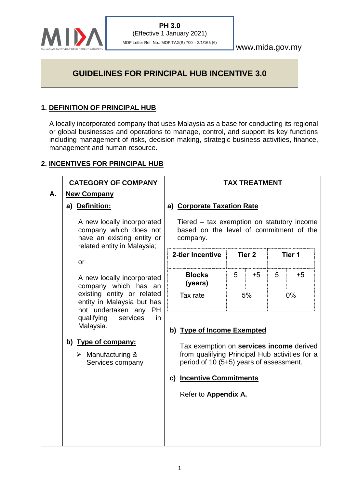

www.mida.gov.my

# **GUIDELINES FOR PRINCIPAL HUB INCENTIVE 3.0**

# **1. DEFINITION OF PRINCIPAL HUB**

A locally incorporated company that uses Malaysia as a base for conducting its regional or global businesses and operations to manage, control, and support its key functions including management of risks, decision making, strategic business activities, finance, management and human resource.

# **2. INCENTIVES FOR PRINCIPAL HUB**

|                                                                                                                           | <b>CATEGORY OF COMPANY</b>                                                                                               | <b>TAX TREATMENT</b>                                                                                                                                                |                                                                                                   |                   |      |        |      |
|---------------------------------------------------------------------------------------------------------------------------|--------------------------------------------------------------------------------------------------------------------------|---------------------------------------------------------------------------------------------------------------------------------------------------------------------|---------------------------------------------------------------------------------------------------|-------------------|------|--------|------|
| А.                                                                                                                        | <b>New Company</b><br>a) Definition:                                                                                     |                                                                                                                                                                     | a) Corporate Taxation Rate                                                                        |                   |      |        |      |
|                                                                                                                           | A new locally incorporated<br>company which does not<br>have an existing entity or<br>related entity in Malaysia;        |                                                                                                                                                                     | Tiered – tax exemption on statutory income<br>based on the level of commitment of the<br>company. |                   |      |        |      |
| or<br>company which has an<br>existing entity or related<br>entity in Malaysia but has<br>not undertaken any<br><b>PH</b> |                                                                                                                          | 2-tier Incentive                                                                                                                                                    |                                                                                                   | Tier <sub>2</sub> |      | Tier 1 |      |
|                                                                                                                           | A new locally incorporated                                                                                               |                                                                                                                                                                     | <b>Blocks</b><br>(years)                                                                          | 5                 | $+5$ | 5      | $+5$ |
|                                                                                                                           |                                                                                                                          | Tax rate                                                                                                                                                            | 5%<br>0%                                                                                          |                   |      |        |      |
|                                                                                                                           | qualifying<br>services<br>in<br>Malaysia.<br>b) Type of company:<br>$\triangleright$ Manufacturing &<br>Services company | b) Type of Income Exempted<br>Tax exemption on services income derived<br>from qualifying Principal Hub activities for a<br>period of 10 (5+5) years of assessment. |                                                                                                   |                   |      |        |      |
|                                                                                                                           |                                                                                                                          |                                                                                                                                                                     |                                                                                                   |                   |      |        |      |
|                                                                                                                           |                                                                                                                          |                                                                                                                                                                     | c) Incentive Commitments                                                                          |                   |      |        |      |
|                                                                                                                           |                                                                                                                          |                                                                                                                                                                     | Refer to Appendix A.                                                                              |                   |      |        |      |
|                                                                                                                           |                                                                                                                          |                                                                                                                                                                     |                                                                                                   |                   |      |        |      |
|                                                                                                                           |                                                                                                                          |                                                                                                                                                                     |                                                                                                   |                   |      |        |      |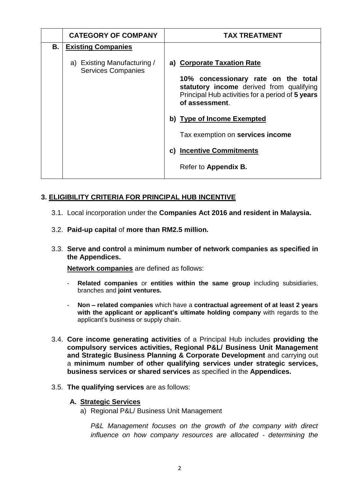|    | <b>CATEGORY OF COMPANY</b>                               | <b>TAX TREATMENT</b>                                                                                                                                  |
|----|----------------------------------------------------------|-------------------------------------------------------------------------------------------------------------------------------------------------------|
| В. | <b>Existing Companies</b>                                |                                                                                                                                                       |
|    | a) Existing Manufacturing /<br><b>Services Companies</b> | a) Corporate Taxation Rate                                                                                                                            |
|    |                                                          | 10% concessionary rate on the total<br>statutory income derived from qualifying<br>Principal Hub activities for a period of 5 years<br>of assessment. |
|    |                                                          | b) Type of Income Exempted                                                                                                                            |
|    |                                                          | Tax exemption on services income                                                                                                                      |
|    |                                                          | c) Incentive Commitments                                                                                                                              |
|    |                                                          | Refer to Appendix B.                                                                                                                                  |

# **3. ELIGIBILITY CRITERIA FOR PRINCIPAL HUB INCENTIVE**

- 3.1. Local incorporation under the **Companies Act 2016 and resident in Malaysia.**
- 3.2. **Paid-up capital** of **more than RM2.5 million.**
- 3.3. **Serve and control** a **minimum number of network companies as specified in the Appendices.**

**Network companies** are defined as follows:

- **Related companies** or **entities within the same group** including subsidiaries, branches and **joint ventures.**
- **Non – related companies** which have a **contractual agreement of at least 2 years with the applicant or applicant's ultimate holding company** with regards to the applicant's business or supply chain.
- 3.4. **Core income generating activities** of a Principal Hub includes **providing the compulsory services activities, Regional P&L/ Business Unit Management and Strategic Business Planning & Corporate Development** and carrying out a **minimum number of other qualifying services under strategic services, business services or shared services** as specified in the **Appendices.**
- 3.5. **The qualifying services** are as follows:
	- **A. Strategic Services** 
		- a) Regional P&L/ Business Unit Management

*P&L Management focuses on the growth of the company with direct influence on how company resources are allocated - determining the*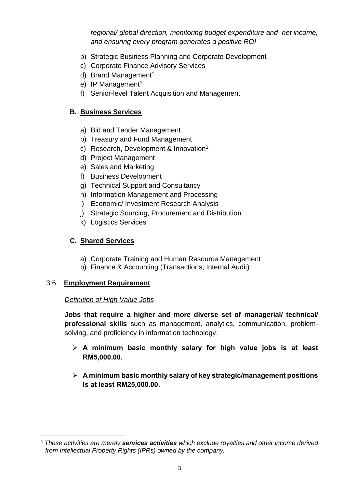*regional/ global direction, monitoring budget expenditure and net income, and ensuring every program generates a positive ROI*

- b) Strategic Business Planning and Corporate Development
- c) Corporate Finance Advisory Services
- d) Brand Management<sup>1</sup>
- e) IP Management<sup>1</sup>
- f) Senior-level Talent Acquisition and Management

# **B. Business Services**

- a) Bid and Tender Management
- b) Treasury and Fund Management
- c) Research, Development & Innovation<sup>1</sup>
- d) Project Management
- e) Sales and Marketing
- f) Business Development
- g) Technical Support and Consultancy
- h) Information Management and Processing
- i) Economic/ Investment Research Analysis
- j) Strategic Sourcing, Procurement and Distribution
- k) Logistics Services

# **C. Shared Services**

- a) Corporate Training and Human Resource Management
- b) Finance & Accounting (Transactions, Internal Audit)

### 3.6. **Employment Requirement**

### *Definition of High Value Jobs*

**Jobs that require a higher and more diverse set of managerial/ technical/ professional skills** such as management, analytics, communication, problemsolving, and proficiency in information technology:

- ➢ **A minimum basic monthly salary for high value jobs is at least RM5,000.00.**
- ➢ **A minimum basic monthly salary of key strategic/management positions is at least RM25,000.00.**

 $\overline{\phantom{a}}$ <sup>1</sup> *These activities are merely services activities which exclude royalties and other income derived from Intellectual Property Rights (IPRs) owned by the company.*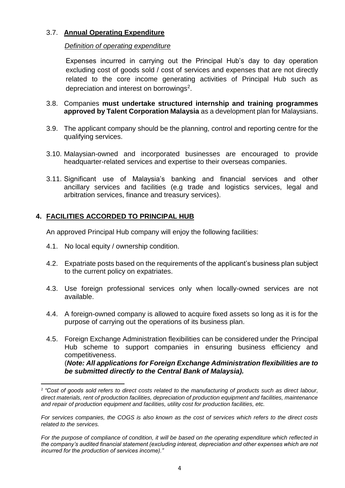# 3.7. **Annual Operating Expenditure**

#### *Definition of operating expenditure*

Expenses incurred in carrying out the Principal Hub's day to day operation excluding cost of goods sold / cost of services and expenses that are not directly related to the core income generating activities of Principal Hub such as depreciation and interest on borrowings<sup>2</sup>.

- 3.8. Companies **must undertake structured internship and training programmes approved by Talent Corporation Malaysia** as a development plan for Malaysians.
- 3.9. The applicant company should be the planning, control and reporting centre for the qualifying services.
- 3.10. Malaysian-owned and incorporated businesses are encouraged to provide headquarter-related services and expertise to their overseas companies.
- 3.11. Significant use of Malaysia's banking and financial services and other ancillary services and facilities (e.g trade and logistics services, legal and arbitration services, finance and treasury services).

# **4. FACILITIES ACCORDED TO PRINCIPAL HUB**

An approved Principal Hub company will enjoy the following facilities:

4.1. No local equity / ownership condition.

 $\overline{\phantom{a}}$ 

- 4.2. Expatriate posts based on the requirements of the applicant's business plan subject to the current policy on expatriates.
- 4.3. Use foreign professional services only when locally-owned services are not available.
- 4.4. A foreign-owned company is allowed to acquire fixed assets so long as it is for the purpose of carrying out the operations of its business plan.
- 4.5. Foreign Exchange Administration flexibilities can be considered under the Principal Hub scheme to support companies in ensuring business efficiency and competitiveness. (*Note: All applications for Foreign Exchange Administration flexibilities are to be submitted directly to the Central Bank of Malaysia).*

<sup>2</sup> *"Cost of goods sold refers to direct costs related to the manufacturing of products such as direct labour, direct materials, rent of production facilities, depreciation of production equipment and facilities, maintenance and repair of production equipment and facilities, utility cost for production facilities, etc.* 

*For services companies, the COGS is also known as the cost of services which refers to the direct costs related to the services.* 

*For the purpose of compliance of condition, it will be based on the operating expenditure which reflected in the company's audited financial statement (excluding interest, depreciation and other expenses which are not incurred for the production of services income)."*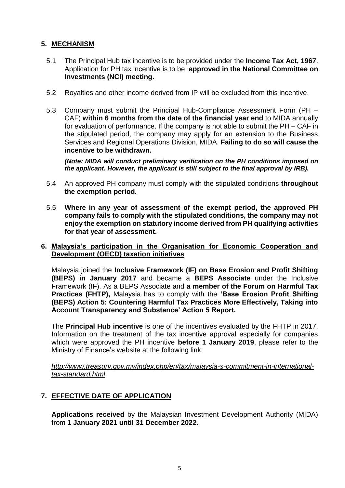### **5. MECHANISM**

- 5.1 The Principal Hub tax incentive is to be provided under the **Income Tax Act, 1967**. Application for PH tax incentive is to be **approved in the National Committee on Investments (NCI) meeting.**
- 5.2 Royalties and other income derived from IP will be excluded from this incentive.
- 5.3 Company must submit the Principal Hub-Compliance Assessment Form (PH CAF) **within 6 months from the date of the financial year end** to MIDA annually for evaluation of performance. If the company is not able to submit the PH – CAF in the stipulated period, the company may apply for an extension to the Business Services and Regional Operations Division, MIDA. **Failing to do so will cause the incentive to be withdrawn.**

*(Note: MIDA will conduct preliminary verification on the PH conditions imposed on the applicant. However, the applicant is still subject to the final approval by IRB).*

- 5.4 An approved PH company must comply with the stipulated conditions **throughout the exemption period.**
- 5.5 **Where in any year of assessment of the exempt period, the approved PH company fails to comply with the stipulated conditions, the company may not enjoy the exemption on statutory income derived from PH qualifying activities for that year of assessment.**

#### **6. Malaysia's participation in the Organisation for Economic Cooperation and Development (OECD) taxation initiatives**

Malaysia joined the **Inclusive Framework (IF) on Base Erosion and Profit Shifting (BEPS) in January 2017** and became a **BEPS Associate** under the Inclusive Framework (IF). As a BEPS Associate and **a member of the Forum on Harmful Tax Practices (FHTP),** Malaysia has to comply with the **'Base Erosion Profit Shifting (BEPS) Action 5: Countering Harmful Tax Practices More Effectively, Taking into Account Transparency and Substance' Action 5 Report.**

The **Principal Hub incentive** is one of the incentives evaluated by the FHTP in 2017. Information on the treatment of the tax incentive approval especially for companies which were approved the PH incentive **before 1 January 2019**, please refer to the Ministry of Finance's website at the following link:

*[http://www.treasury.gov.my/index.php/en/tax/malaysia-s-commitment-in-international](http://www.treasury.gov.my/index.php/en/tax/malaysia-s-commitment-in-international-tax-standard.html)[tax-standard.html](http://www.treasury.gov.my/index.php/en/tax/malaysia-s-commitment-in-international-tax-standard.html)*

### **7. EFFECTIVE DATE OF APPLICATION**

**Applications received** by the Malaysian Investment Development Authority (MIDA) from **1 January 2021 until 31 December 2022.**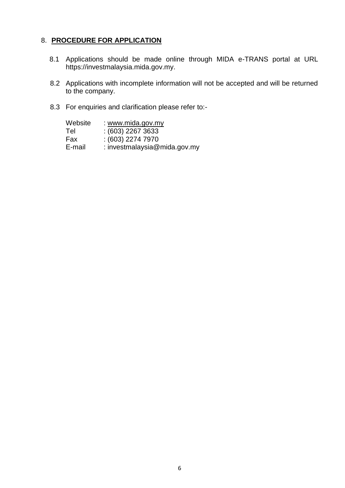### 8. **PROCEDURE FOR APPLICATION**

- 8.1 Applications should be made online through MIDA e-TRANS portal at URL https://investmalaysia.mida.gov.my.
- 8.2 Applications with incomplete information will not be accepted and will be returned to the company.
- 8.3 For enquiries and clarification please refer to:-

| Website | : www.mida.gov.my            |
|---------|------------------------------|
| Tel     | $(603)$ 2267 3633            |
| Fax     | $(603)$ 2274 7970            |
| E-mail  | : investmalaysia@mida.gov.my |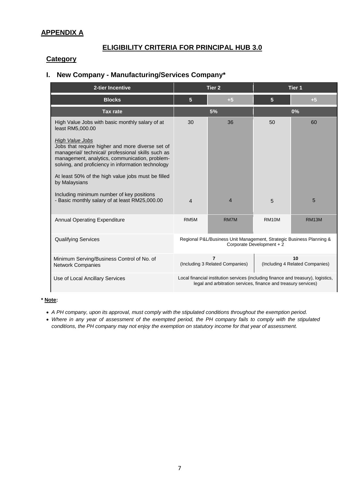# **APPENDIX A**

### **ELIGIBILITY CRITERIA FOR PRINCIPAL HUB 3.0**

#### **Category**

# **I. New Company - Manufacturing/Services Company\***

| 2-tier Incentive                                                                                                                                                                                                                         |                                                                                                                                                     | Tier <sub>2</sub>                                 | Tier 1                                |              |  |
|------------------------------------------------------------------------------------------------------------------------------------------------------------------------------------------------------------------------------------------|-----------------------------------------------------------------------------------------------------------------------------------------------------|---------------------------------------------------|---------------------------------------|--------------|--|
| <b>Blocks</b>                                                                                                                                                                                                                            | $5\phantom{1}$                                                                                                                                      | $+5$                                              | 5 <sup>5</sup>                        | $+5$         |  |
| <b>Tax rate</b>                                                                                                                                                                                                                          |                                                                                                                                                     | 5%                                                |                                       | 0%           |  |
| High Value Jobs with basic monthly salary of at<br>least RM5,000.00                                                                                                                                                                      | 30                                                                                                                                                  | 36                                                | 50                                    | 60           |  |
| <b>High Value Jobs</b><br>Jobs that require higher and more diverse set of<br>managerial/ technical/ professional skills such as<br>management, analytics, communication, problem-<br>solving, and proficiency in information technology |                                                                                                                                                     |                                                   |                                       |              |  |
| At least 50% of the high value jobs must be filled<br>by Malaysians                                                                                                                                                                      |                                                                                                                                                     |                                                   |                                       |              |  |
| Including minimum number of key positions<br>- Basic monthly salary of at least RM25,000.00                                                                                                                                              | $\overline{4}$                                                                                                                                      | 4                                                 | 5                                     | 5            |  |
| <b>Annual Operating Expenditure</b>                                                                                                                                                                                                      | RM <sub>5</sub> M                                                                                                                                   | <b>RM7M</b>                                       | <b>RM10M</b>                          | <b>RM13M</b> |  |
| <b>Qualifying Services</b>                                                                                                                                                                                                               | Regional P&L/Business Unit Management, Strategic Business Planning &<br>Corporate Development + 2                                                   |                                                   |                                       |              |  |
| Minimum Serving/Business Control of No. of<br><b>Network Companies</b>                                                                                                                                                                   |                                                                                                                                                     | $\overline{7}$<br>(Including 3 Related Companies) | 10<br>(Including 4 Related Companies) |              |  |
| Use of Local Ancillary Services                                                                                                                                                                                                          | Local financial institution services (including finance and treasury), logistics,<br>legal and arbitration services, finance and treasury services) |                                                   |                                       |              |  |

#### **\* Note:**

- *A PH company, upon its approval, must comply with the stipulated conditions throughout the exemption period.*
- *Where in any year of assessment of the exempted period, the PH company fails to comply with the stipulated conditions, the PH company may not enjoy the exemption on statutory income for that year of assessment.*